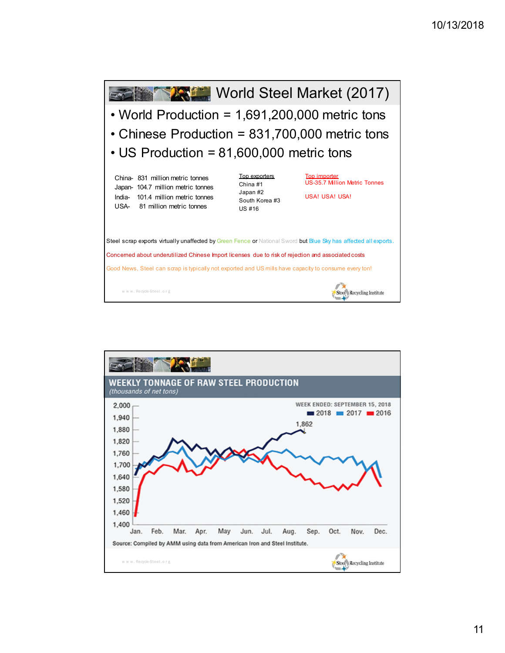

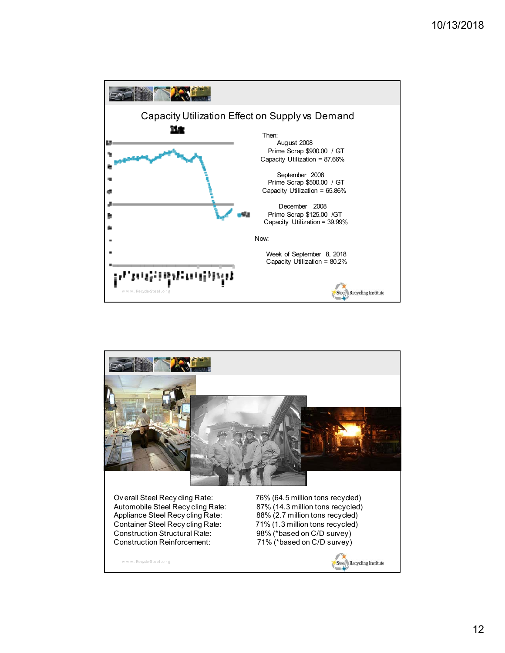

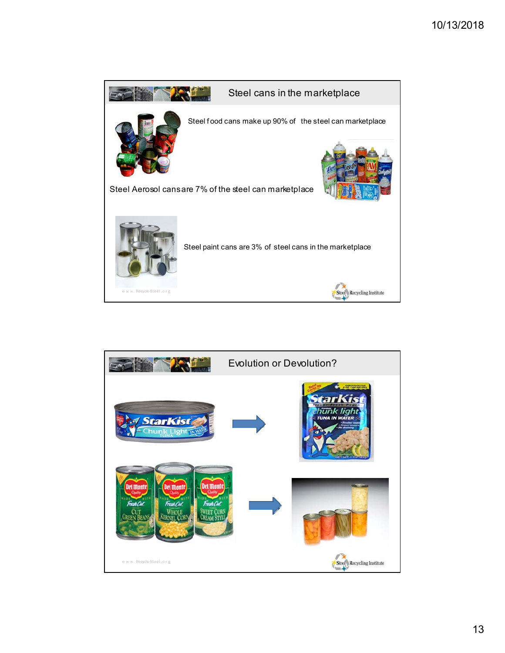

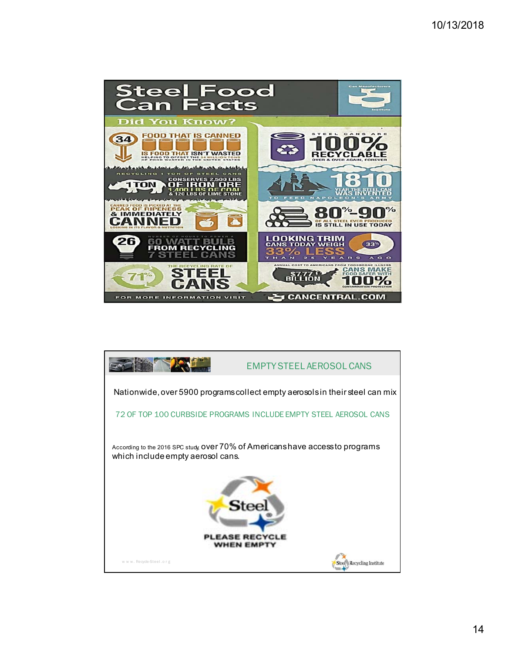

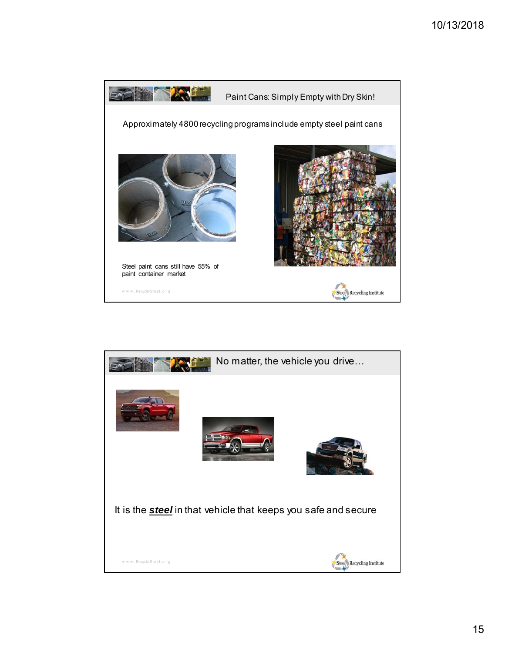

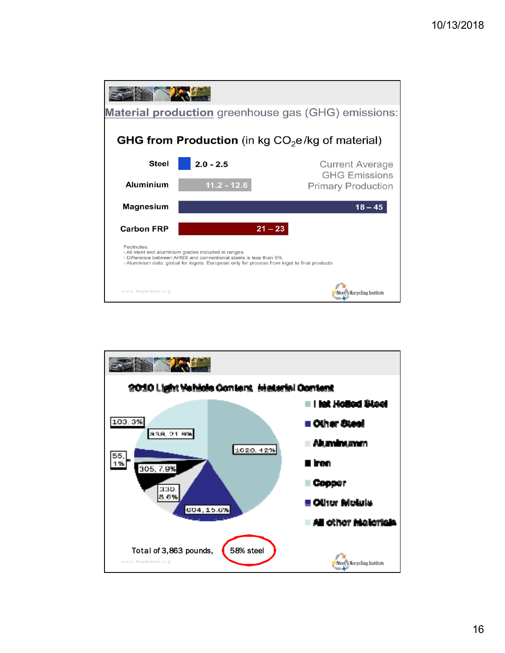

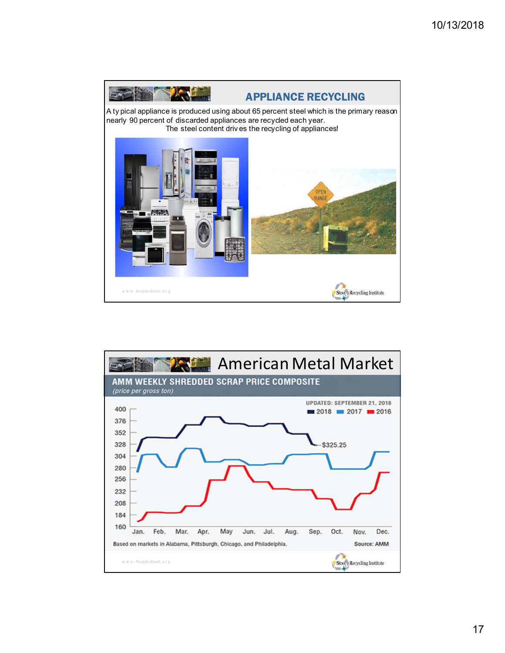

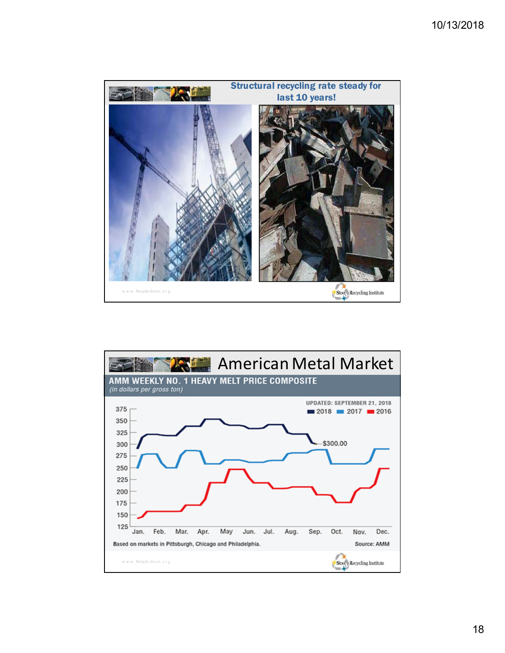

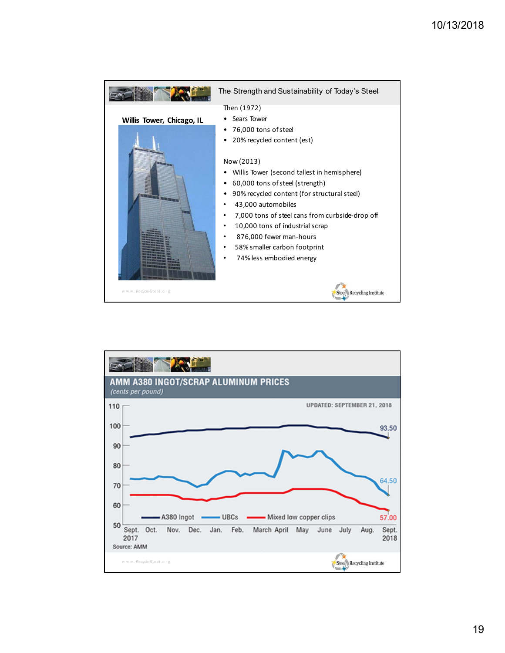

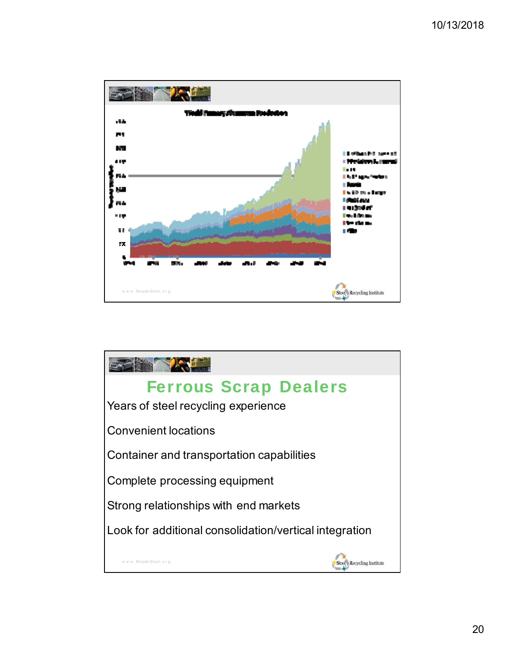